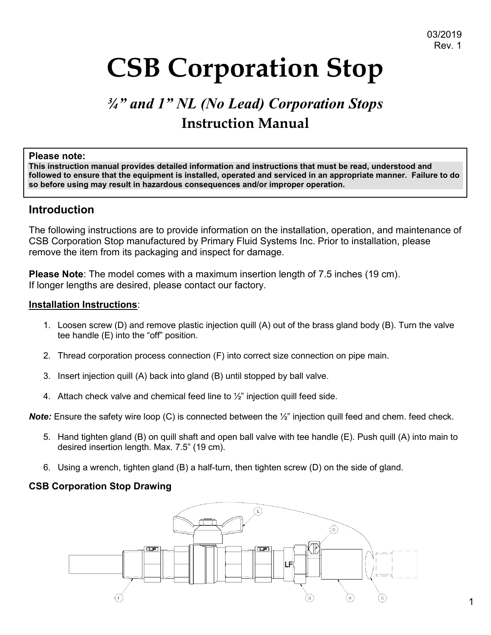# **CSB Corporation Stop**

## *¾" and 1" NL (No Lead) Corporation Stops* **Instruction Manual**

#### **Please note:**

**This instruction manual provides detailed information and instructions that must be read, understood and followed to ensure that the equipment is installed, operated and serviced in an appropriate manner. Failure to do so before using may result in hazardous consequences and/or improper operation.**

#### **Introduction**

The following instructions are to provide information on the installation, operation, and maintenance of CSB Corporation Stop manufactured by Primary Fluid Systems Inc. Prior to installation, please remove the item from its packaging and inspect for damage.

**Please Note**: The model comes with a maximum insertion length of 7.5 inches (19 cm). If longer lengths are desired, please contact our factory.

#### **Installation Instructions**:

- 1. Loosen screw (D) and remove plastic injection quill (A) out of the brass gland body (B). Turn the valve tee handle (E) into the "off" position.
- 2. Thread corporation process connection (F) into correct size connection on pipe main.
- 3. Insert injection quill (A) back into gland (B) until stopped by ball valve.
- 4. Attach check valve and chemical feed line to ½" injection quill feed side.

*Note:* Ensure the safety wire loop (C) is connected between the  $\frac{1}{2}$ " injection quill feed and chem. feed check.

- 5. Hand tighten gland (B) on quill shaft and open ball valve with tee handle (E). Push quill (A) into main to desired insertion length. Max. 7.5" (19 cm).
- 6. Using a wrench, tighten gland (B) a half-turn, then tighten screw (D) on the side of gland.

#### **CSB Corporation Stop Drawing**